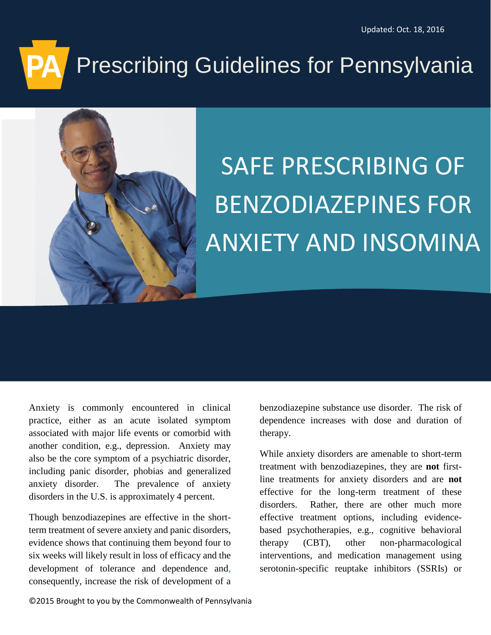# Prescribing Guidelines for Pennsylvania



## SAFE PRESCRIBING OF BENZODIAZEPINES FOR ANXIETY AND INSOMINA

Anxiety is commonly encountered in clinical practice, either as an acute isolated symptom associated with major life events or comorbid with another condition, e.g., depression. Anxiety may also be the core symptom of a psychiatric disorder, including panic disorder, phobias and generalized anxiety disorder. The prevalence of anxiety disorders in the U.S. is approximately 4 percent.

Though benzodiazepines are effective in the shortterm treatment of severe anxiety and panic disorders, evidence shows that continuing them beyond four to six weeks will likely result in loss of efficacy and the development of tolerance and dependence and, consequently, increase the risk of development of a

benzodiazepine substance use disorder. The risk of dependence increases with dose and duration of therapy.

While anxiety disorders are amenable to short-term treatment with benzodiazepines, they are **not** firstline treatments for anxiety disorders and are **not** effective for the long-term treatment of these disorders. Rather, there are other much more effective treatment options, including evidencebased psychotherapies, e.g., cognitive behavioral therapy (CBT), other non-pharmacological interventions, and medication management using serotonin-specific reuptake inhibitors (SSRIs) or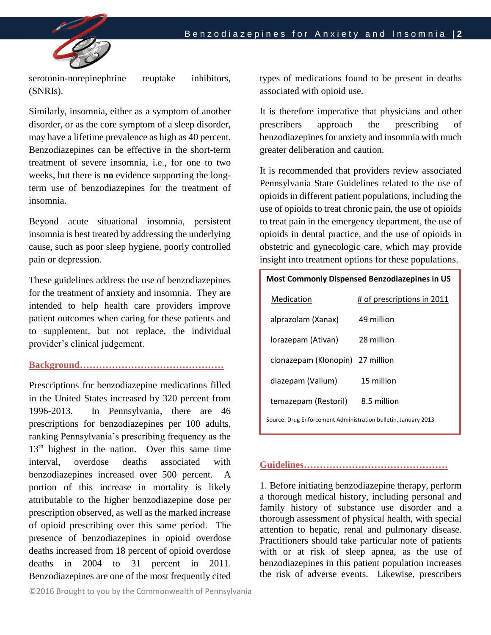

serotonin-norepinephrine reuptake inhibitors, (SNRIs).

Similarly, insomnia, either as a symptom of another disorder, or as the core symptom of a sleep disorder, may have a lifetime prevalence as high as 40 percent. Benzodiazepines can be effective in the short-term treatment of severe insomnia, i.e., for one to two weeks, but there is **no** evidence supporting the longterm use of benzodiazepines for the treatment of insomnia.

Beyond acute situational insomnia, persistent insomnia is best treated by addressing the underlying cause, such as poor sleep hygiene, poorly controlled pain or depression.

These guidelines address the use of benzodiazepines for the treatment of anxiety and insomnia. They are intended to help health care providers improve patient outcomes when caring for these patients and to supplement, but not replace, the individual provider's clinical judgement.

### **Background………………………………………**

Prescriptions for benzodiazepine medications filled in the United States increased by 320 percent from 1996-2013. In Pennsylvania, there are 46 prescriptions for benzodiazepines per 100 adults, ranking Pennsylvania's prescribing frequency as the 13<sup>th</sup> highest in the nation. Over this same time interval, overdose deaths associated with benzodiazepines increased over 500 percent. A portion of this increase in mortality is likely attributable to the higher benzodiazepine dose per prescription observed, as well as the marked increase of opioid prescribing over this same period. The presence of benzodiazepines in opioid overdose deaths increased from 18 percent of opioid overdose deaths in 2004 to 31 percent in 2011. Benzodiazepines are one of the most frequently cited

types of medications found to be present in deaths associated with opioid use.

It is therefore imperative that physicians and other prescribers approach the prescribing of benzodiazepines for anxiety and insomnia with much greater deliberation and caution.

It is recommended that providers review associated Pennsylvania State Guidelines related to the use of opioids in different patient populations, including the use of opioids to treat chronic pain, the use of opioids to treat pain in the emergency department, the use of opioids in dental practice, and the use of opioids in obstetric and gynecologic care, which may provide insight into treatment options for these populations.

| <b>Most Commonly Dispensed Benzodiazepines in US</b>           |                            |  |  |  |
|----------------------------------------------------------------|----------------------------|--|--|--|
| Medication                                                     | # of prescriptions in 2011 |  |  |  |
| alprazolam (Xanax)                                             | 49 million                 |  |  |  |
| lorazepam (Ativan)                                             | 28 million                 |  |  |  |
| clonazepam (Klonopin) 27 million                               |                            |  |  |  |
| diazepam (Valium)                                              | 15 million                 |  |  |  |
| temazepam (Restoril)                                           | 8.5 million                |  |  |  |
| Source: Drug Enforcement Administration bulletin, January 2013 |                            |  |  |  |

### **Guidelines………………………………………**

1. Before initiating benzodiazepine therapy, perform a thorough medical history, including personal and family history of substance use disorder and a thorough assessment of physical health, with special attention to hepatic, renal and pulmonary disease. Practitioners should take particular note of patients with or at risk of sleep apnea, as the use of benzodiazepines in this patient population increases the risk of adverse events. Likewise, prescribers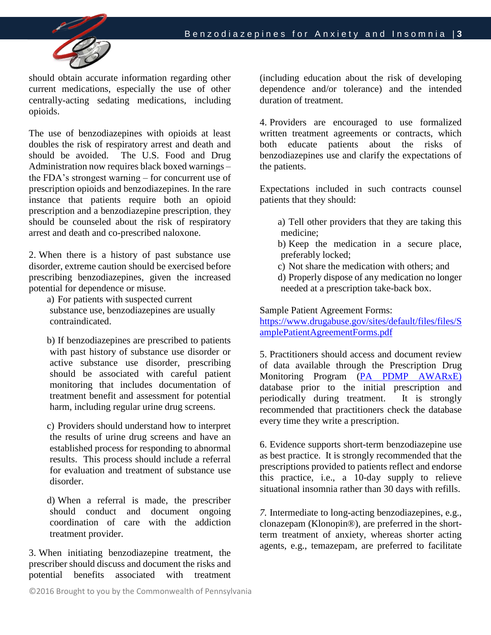

should obtain accurate information regarding other current medications, especially the use of other centrally-acting sedating medications, including opioids.

The use of benzodiazepines with opioids at least doubles the risk of respiratory arrest and death and should be avoided. The U.S. Food and Drug Administration now requires black boxed warnings – the FDA's strongest warning – for concurrent use of prescription opioids and benzodiazepines. In the rare instance that patients require both an opioid prescription and a benzodiazepine prescription, they should be counseled about the risk of respiratory arrest and death and co-prescribed naloxone.

2. When there is a history of past substance use disorder, extreme caution should be exercised before prescribing benzodiazepines, given the increased potential for dependence or misuse.

a) For patients with suspected current substance use, benzodiazepines are usually contraindicated.

b) If benzodiazepines are prescribed to patients with past history of substance use disorder or active substance use disorder, prescribing should be associated with careful patient monitoring that includes documentation of treatment benefit and assessment for potential harm, including regular urine drug screens.

c) Providers should understand how to interpret the results of urine drug screens and have an established process for responding to abnormal results. This process should include a referral for evaluation and treatment of substance use disorder.

d) When a referral is made, the prescriber should conduct and document ongoing coordination of care with the addiction treatment provider.

3. When initiating benzodiazepine treatment, the prescriber should discuss and document the risks and potential benefits associated with treatment

(including education about the risk of developing dependence and/or tolerance) and the intended duration of treatment.

4. Providers are encouraged to use formalized written treatment agreements or contracts, which both educate patients about the risks of benzodiazepines use and clarify the expectations of the patients.

Expectations included in such contracts counsel patients that they should:

- a) Tell other providers that they are taking this medicine;
- b) Keep the medication in a secure place, preferably locked;
- c) Not share the medication with others; and
- d) Properly dispose of any medication no longer needed at a prescription take-back box.

Sample Patient Agreement Forms:

[https://www.drugabuse.gov/sites/default/files/files/S](https://www.drugabuse.gov/sites/default/files/files/SamplePatientAgreementForms.pdf) [amplePatientAgreementForms.pdf](https://www.drugabuse.gov/sites/default/files/files/SamplePatientAgreementForms.pdf)

5. Practitioners should access and document review of data available through the Prescription Drug Monitoring Program [\(PA PDMP AWARxE\)](http://www.health.pa.gov/Your-Department-of-Health/Offices%20and%20Bureaus/PaPrescriptionDrugMonitoringProgram/Pages/PDMP-Portal.aspx#.V9as76DD99A) database prior to the initial prescription and periodically during treatment. It is strongly recommended that practitioners check the database every time they write a prescription.

6. Evidence supports short-term benzodiazepine use as best practice. It is strongly recommended that the prescriptions provided to patients reflect and endorse this practice, i.e., a 10-day supply to relieve situational insomnia rather than 30 days with refills.

*7.* Intermediate to long-acting benzodiazepines, e.g., clonazepam (Klonopin®), are preferred in the shortterm treatment of anxiety, whereas shorter acting agents, e.g., temazepam, are preferred to facilitate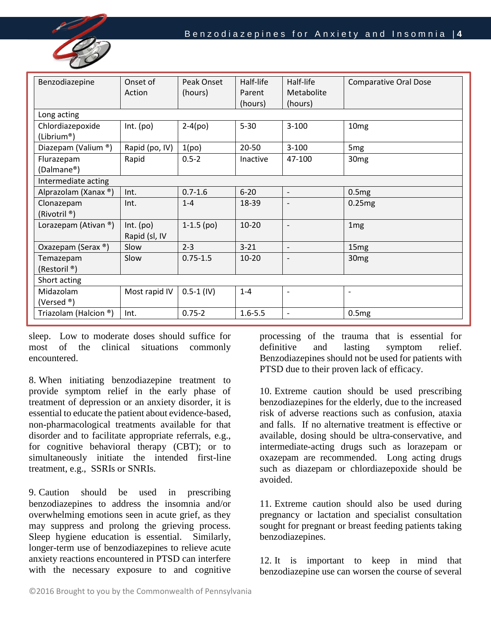

| Benzodiazepine                         | Onset of<br>Action           | Peak Onset<br>(hours) | Half-life<br>Parent<br>(hours) | Half-life<br>Metabolite<br>(hours) | <b>Comparative Oral Dose</b> |  |  |
|----------------------------------------|------------------------------|-----------------------|--------------------------------|------------------------------------|------------------------------|--|--|
| Long acting                            |                              |                       |                                |                                    |                              |  |  |
| Chlordiazepoxide<br>(Librium®)         | Int. (po)                    | $2-4(po)$             | $5 - 30$                       | $3 - 100$                          | 10 <sub>mg</sub>             |  |  |
| Diazepam (Valium ®)                    | Rapid (po, IV)               | 1(po)                 | $20 - 50$                      | $3 - 100$                          | 5 <sub>mg</sub>              |  |  |
| Flurazepam<br>(Dalmane®)               | Rapid                        | $0.5 - 2$             | Inactive                       | 47-100                             | 30 <sub>mg</sub>             |  |  |
| Intermediate acting                    |                              |                       |                                |                                    |                              |  |  |
| Alprazolam (Xanax ®)                   | Int.                         | $0.7 - 1.6$           | $6 - 20$                       | $\overline{\phantom{a}}$           | 0.5mg                        |  |  |
| Clonazepam<br>(Rivotril <sup>®</sup> ) | Int.                         | $1 - 4$               | 18-39                          | $\overline{\phantom{a}}$           | 0.25mg                       |  |  |
| Lorazepam (Ativan ®)                   | $Int.$ (po)<br>Rapid (sl, IV | $1-1.5$ (po)          | $10 - 20$                      | $\overline{\phantom{a}}$           | 1 <sub>mg</sub>              |  |  |
| Oxazepam (Serax ®)                     | Slow                         | $2 - 3$               | $3 - 21$                       | $\overline{\phantom{a}}$           | 15 <sub>mg</sub>             |  |  |
| Temazepam<br>(Restoril <sup>®</sup> )  | Slow                         | $0.75 - 1.5$          | $10 - 20$                      | $\overline{\phantom{a}}$           | 30 <sub>mg</sub>             |  |  |
| Short acting                           |                              |                       |                                |                                    |                              |  |  |
| Midazolam<br>(Versed $\mathcal{P}$ )   | Most rapid IV                | $0.5 - 1$ (IV)        | $1 - 4$                        | $\overline{\phantom{a}}$           | $\overline{\phantom{a}}$     |  |  |
| Triazolam (Halcion ®)                  | Int.                         | $0.75 - 2$            | $1.6 - 5.5$                    | $\overline{\phantom{a}}$           | 0.5mg                        |  |  |

sleep. Low to moderate doses should suffice for most of the clinical situations commonly encountered.

8. When initiating benzodiazepine treatment to provide symptom relief in the early phase of treatment of depression or an anxiety disorder, it is essential to educate the patient about evidence-based, non-pharmacological treatments available for that disorder and to facilitate appropriate referrals, e.g., for cognitive behavioral therapy (CBT); or to simultaneously initiate the intended first-line treatment, e.g., SSRIs or SNRIs.

9. Caution should be used in prescribing benzodiazepines to address the insomnia and/or overwhelming emotions seen in acute grief, as they may suppress and prolong the grieving process. Sleep hygiene education is essential. Similarly, longer-term use of benzodiazepines to relieve acute anxiety reactions encountered in PTSD can interfere with the necessary exposure to and cognitive

processing of the trauma that is essential for definitive and lasting symptom relief. Benzodiazepines should not be used for patients with PTSD due to their proven lack of efficacy.

10. Extreme caution should be used prescribing benzodiazepines for the elderly, due to the increased risk of adverse reactions such as confusion, ataxia and falls. If no alternative treatment is effective or available, dosing should be ultra-conservative, and intermediate-acting drugs such as lorazepam or oxazepam are recommended. Long acting drugs such as diazepam or chlordiazepoxide should be avoided.

11. Extreme caution should also be used during pregnancy or lactation and specialist consultation sought for pregnant or breast feeding patients taking benzodiazepines.

12. It is important to keep in mind that benzodiazepine use can worsen the course of several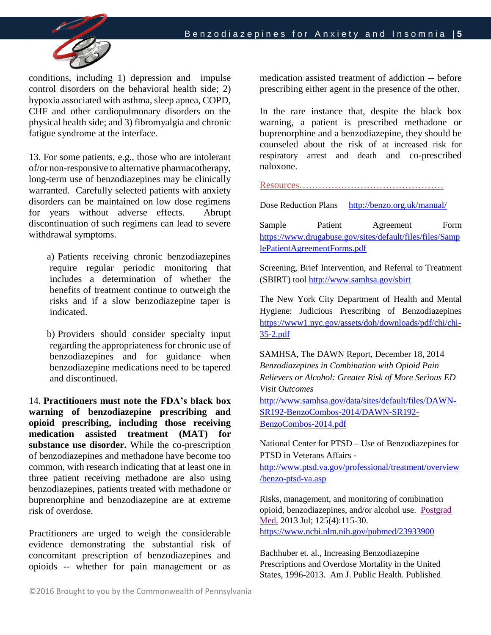

conditions, including 1) depression and impulse control disorders on the behavioral health side; 2) hypoxia associated with asthma, sleep apnea, COPD, CHF and other cardiopulmonary disorders on the physical health side; and 3) fibromyalgia and chronic fatigue syndrome at the interface.

13. For some patients, e.g., those who are intolerant of/or non-responsive to alternative pharmacotherapy, long-term use of benzodiazepines may be clinically warranted. Carefully selected patients with anxiety disorders can be maintained on low dose regimens for years without adverse effects. Abrupt discontinuation of such regimens can lead to severe withdrawal symptoms.

a) Patients receiving chronic benzodiazepines require regular periodic monitoring that includes a determination of whether the benefits of treatment continue to outweigh the risks and if a slow benzodiazepine taper is indicated.

b) Providers should consider specialty input regarding the appropriateness for chronic use of benzodiazepines and for guidance when benzodiazepine medications need to be tapered and discontinued.

14. **Practitioners must note the FDA's black box warning of benzodiazepine prescribing and opioid prescribing, including those receiving medication assisted treatment (MAT) for substance use disorder.** While the co-prescription of benzodiazepines and methadone have become too common, with research indicating that at least one in three patient receiving methadone are also using benzodiazepines, patients treated with methadone or buprenorphine and benzodiazepine are at extreme risk of overdose.

Practitioners are urged to weigh the considerable evidence demonstrating the substantial risk of concomitant prescription of benzodiazepines and opioids -- whether for pain management or as

medication assisted treatment of addiction -- before prescribing either agent in the presence of the other.

In the rare instance that, despite the black box warning, a patient is prescribed methadone or buprenorphine and a benzodiazepine, they should be counseled about the risk of at increased risk for respiratory arrest and death and co-prescribed naloxone.

Resources………………………………………

Dose Reduction Plans <http://benzo.org.uk/manual/>

Sample Patient Agreement Form [https://www.drugabuse.gov/sites/default/files/files/Samp](https://www.drugabuse.gov/sites/default/files/files/SamplePatientAgreementForms.pdf) [lePatientAgreementForms.pdf](https://www.drugabuse.gov/sites/default/files/files/SamplePatientAgreementForms.pdf)

Screening, Brief Intervention, and Referral to Treatment (SBIRT) tool<http://www.samhsa.gov/sbirt>

The New York City Department of Health and Mental Hygiene: Judicious Prescribing of Benzodiazepines [https://www1.nyc.gov/assets/doh/downloads/pdf/chi/chi-](https://www1.nyc.gov/assets/doh/downloads/pdf/chi/chi-35-2.pdf)[35-2.pdf](https://www1.nyc.gov/assets/doh/downloads/pdf/chi/chi-35-2.pdf)

SAMHSA, The DAWN Report, December 18, 2014 *Benzodiazepines in Combination with Opioid Pain Relievers or Alcohol: Greater Risk of More Serious ED Visit Outcomes* 

[http://www.samhsa.gov/data/sites/default/files/DAWN-](http://www.samhsa.gov/data/sites/default/files/DAWN-SR192-BenzoCombos-2014/DAWN-SR192-BenzoCombos-2014.pdf)[SR192-BenzoCombos-2014/DAWN-SR192-](http://www.samhsa.gov/data/sites/default/files/DAWN-SR192-BenzoCombos-2014/DAWN-SR192-BenzoCombos-2014.pdf) [BenzoCombos-2014.pdf](http://www.samhsa.gov/data/sites/default/files/DAWN-SR192-BenzoCombos-2014/DAWN-SR192-BenzoCombos-2014.pdf)

National Center for PTSD – Use of Benzodiazepines for PTSD in Veterans Affairs -

[http://www.ptsd.va.gov/professional/treatment/overview](http://www.ptsd.va.gov/professional/treatment/overview/benzo-ptsd-va.asp) [/benzo-ptsd-va.asp](http://www.ptsd.va.gov/professional/treatment/overview/benzo-ptsd-va.asp)

Risks, management, and monitoring of combination opioid, benzodiazepines, and/or alcohol use. [Postgrad](https://www.ncbi.nlm.nih.gov/pubmed/23933900)  [Med.](https://www.ncbi.nlm.nih.gov/pubmed/23933900) 2013 Jul; 125(4):115-30. <https://www.ncbi.nlm.nih.gov/pubmed/23933900>

Bachhuber et. al., Increasing Benzodiazepine Prescriptions and Overdose Mortality in the United States, 1996-2013. Am J. Public Health. Published